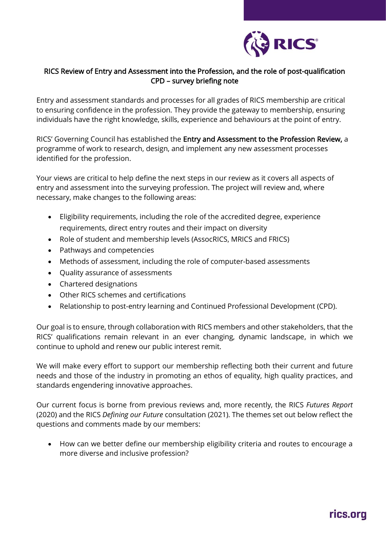

## RICS Review of Entry and Assessment into the Profession, and the role of post-qualification CPD – survey briefing note

Entry and assessment standards and processes for all grades of RICS membership are critical to ensuring confidence in the profession. They provide the gateway to membership, ensuring individuals have the right knowledge, skills, experience and behaviours at the point of entry.

RICS' Governing Council has established the Entry and Assessment to the Profession Review, a programme of work to research, design, and implement any new assessment processes identified for the profession.

Your views are critical to help define the next steps in our review as it covers all aspects of entry and assessment into the surveying profession. The project will review and, where necessary, make changes to the following areas:

- Eligibility requirements, including the role of the accredited degree, experience requirements, direct entry routes and their impact on diversity
- Role of student and membership levels (AssocRICS, MRICS and FRICS)
- Pathways and competencies
- Methods of assessment, including the role of computer-based assessments
- Quality assurance of assessments
- Chartered designations
- Other RICS schemes and certifications
- Relationship to post-entry learning and Continued Professional Development (CPD).

Our goal is to ensure, through collaboration with RICS members and other stakeholders, that the RICS' qualifications remain relevant in an ever changing, dynamic landscape, in which we continue to uphold and renew our public interest remit.

We will make every effort to support our membership reflecting both their current and future needs and those of the industry in promoting an ethos of equality, high quality practices, and standards engendering innovative approaches.

Our current focus is borne from previous reviews and, more recently, the RICS *Futures Report* (2020) and the RICS *Defining our Future* consultation (2021). The themes set out below reflect the questions and comments made by our members:

• How can we better define our membership eligibility criteria and routes to encourage a more diverse and inclusive profession?